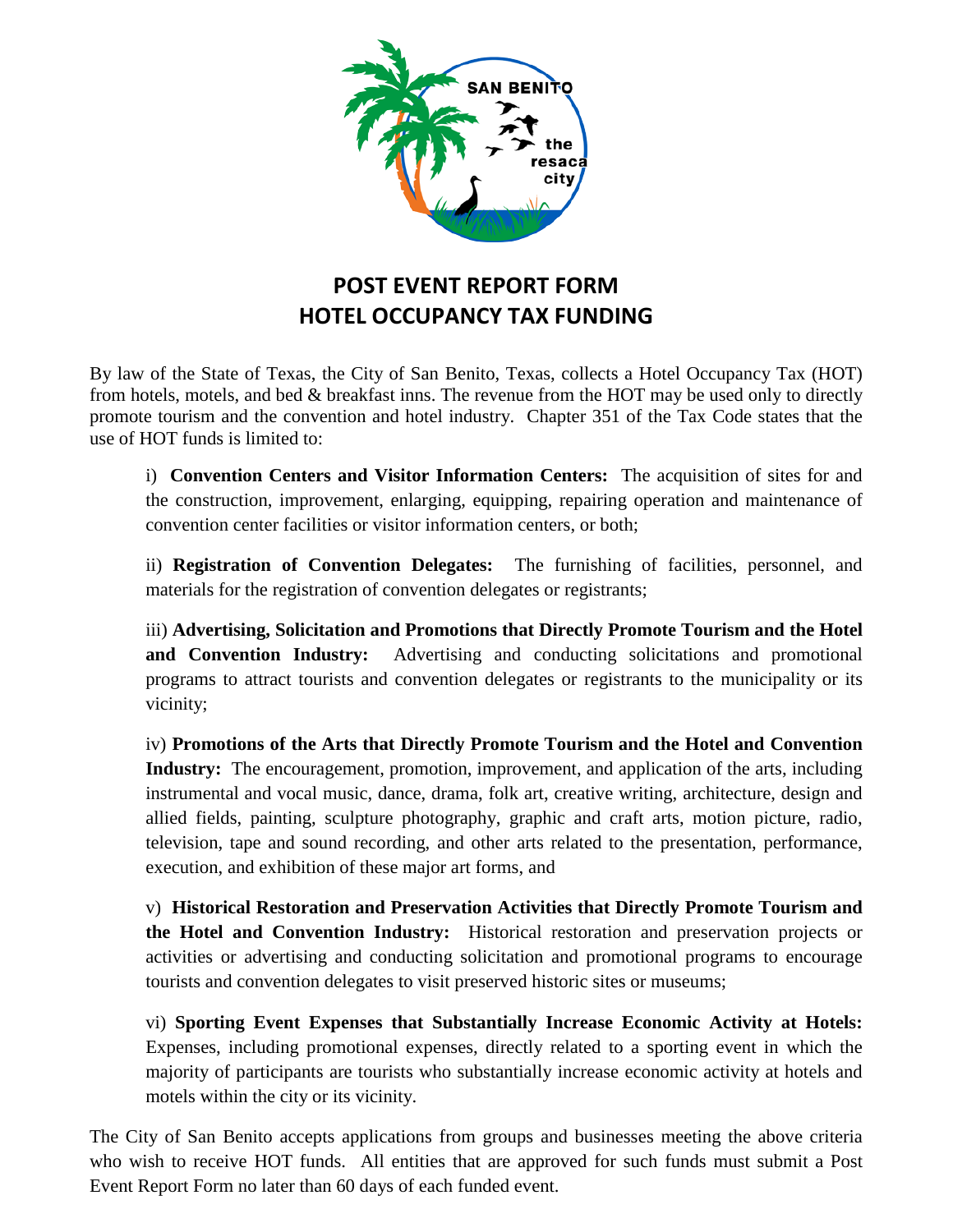

## **POST EVENT REPORT FORM HOTEL OCCUPANCY TAX FUNDING**

By law of the State of Texas, the City of San Benito, Texas, collects a Hotel Occupancy Tax (HOT) from hotels, motels, and bed & breakfast inns. The revenue from the HOT may be used only to directly promote tourism and the convention and hotel industry. Chapter 351 of the Tax Code states that the use of HOT funds is limited to:

i) **Convention Centers and Visitor Information Centers:** The acquisition of sites for and the construction, improvement, enlarging, equipping, repairing operation and maintenance of convention center facilities or visitor information centers, or both;

ii) **Registration of Convention Delegates:** The furnishing of facilities, personnel, and materials for the registration of convention delegates or registrants;

iii) **Advertising, Solicitation and Promotions that Directly Promote Tourism and the Hotel and Convention Industry:** Advertising and conducting solicitations and promotional programs to attract tourists and convention delegates or registrants to the municipality or its vicinity;

iv) **Promotions of the Arts that Directly Promote Tourism and the Hotel and Convention Industry:** The encouragement, promotion, improvement, and application of the arts, including instrumental and vocal music, dance, drama, folk art, creative writing, architecture, design and allied fields, painting, sculpture photography, graphic and craft arts, motion picture, radio, television, tape and sound recording, and other arts related to the presentation, performance, execution, and exhibition of these major art forms, and

v) **Historical Restoration and Preservation Activities that Directly Promote Tourism and the Hotel and Convention Industry:** Historical restoration and preservation projects or activities or advertising and conducting solicitation and promotional programs to encourage tourists and convention delegates to visit preserved historic sites or museums;

vi) **Sporting Event Expenses that Substantially Increase Economic Activity at Hotels:**  Expenses, including promotional expenses, directly related to a sporting event in which the majority of participants are tourists who substantially increase economic activity at hotels and motels within the city or its vicinity.

The City of San Benito accepts applications from groups and businesses meeting the above criteria who wish to receive HOT funds. All entities that are approved for such funds must submit a Post Event Report Form no later than 60 days of each funded event.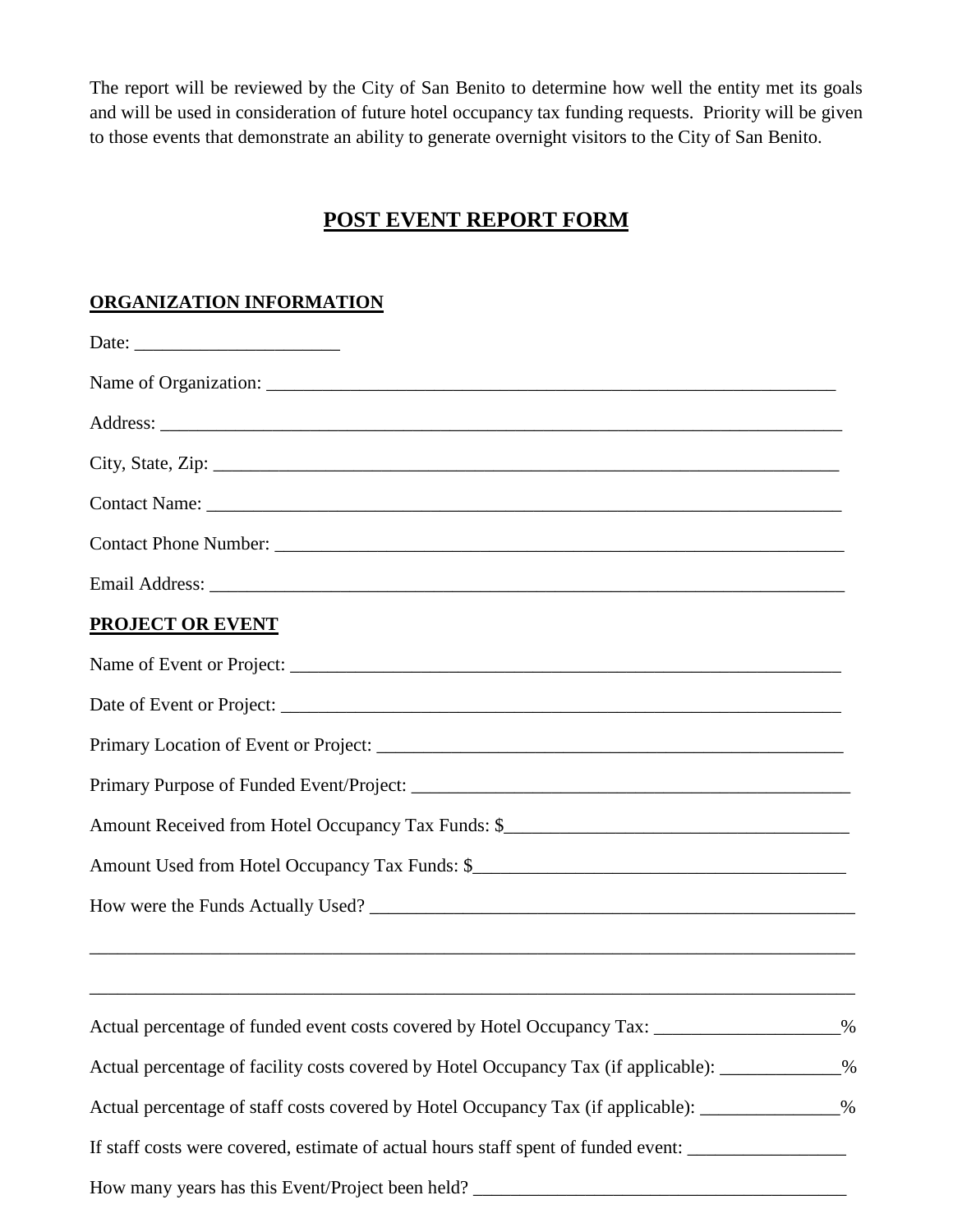The report will be reviewed by the City of San Benito to determine how well the entity met its goals and will be used in consideration of future hotel occupancy tax funding requests. Priority will be given to those events that demonstrate an ability to generate overnight visitors to the City of San Benito.

## **POST EVENT REPORT FORM**

## **ORGANIZATION INFORMATION**

|                                                                                                   |  |  |  | City, State, Zip: 2008. Experience of the State of Table 3. State of Table 3. State 3. State 3. State 3. State 3. State 3. State 3. State 3. State 3. State 3. State 3. State 3. State 3. State 3. State 3. State 3. State 3. |  |
|---------------------------------------------------------------------------------------------------|--|--|--|-------------------------------------------------------------------------------------------------------------------------------------------------------------------------------------------------------------------------------|--|
|                                                                                                   |  |  |  |                                                                                                                                                                                                                               |  |
|                                                                                                   |  |  |  |                                                                                                                                                                                                                               |  |
|                                                                                                   |  |  |  |                                                                                                                                                                                                                               |  |
| <b>PROJECT OR EVENT</b>                                                                           |  |  |  |                                                                                                                                                                                                                               |  |
|                                                                                                   |  |  |  |                                                                                                                                                                                                                               |  |
| Date of Event or Project:                                                                         |  |  |  |                                                                                                                                                                                                                               |  |
|                                                                                                   |  |  |  |                                                                                                                                                                                                                               |  |
|                                                                                                   |  |  |  |                                                                                                                                                                                                                               |  |
|                                                                                                   |  |  |  |                                                                                                                                                                                                                               |  |
|                                                                                                   |  |  |  |                                                                                                                                                                                                                               |  |
|                                                                                                   |  |  |  |                                                                                                                                                                                                                               |  |
| ,我们也不能在这里的时候,我们也不能在这里的时候,我们也不能不能不能不能不能不能不能不能不能不能不能不能不能不能不能。""我们的是,我们也不能不能不能不能不能不能                 |  |  |  |                                                                                                                                                                                                                               |  |
| Actual percentage of funded event costs covered by Hotel Occupancy Tax: ________________%         |  |  |  |                                                                                                                                                                                                                               |  |
| Actual percentage of facility costs covered by Hotel Occupancy Tax (if applicable): ____________% |  |  |  |                                                                                                                                                                                                                               |  |
| Actual percentage of staff costs covered by Hotel Occupancy Tax (if applicable): _____________%   |  |  |  |                                                                                                                                                                                                                               |  |
| If staff costs were covered, estimate of actual hours staff spent of funded event:                |  |  |  |                                                                                                                                                                                                                               |  |
|                                                                                                   |  |  |  |                                                                                                                                                                                                                               |  |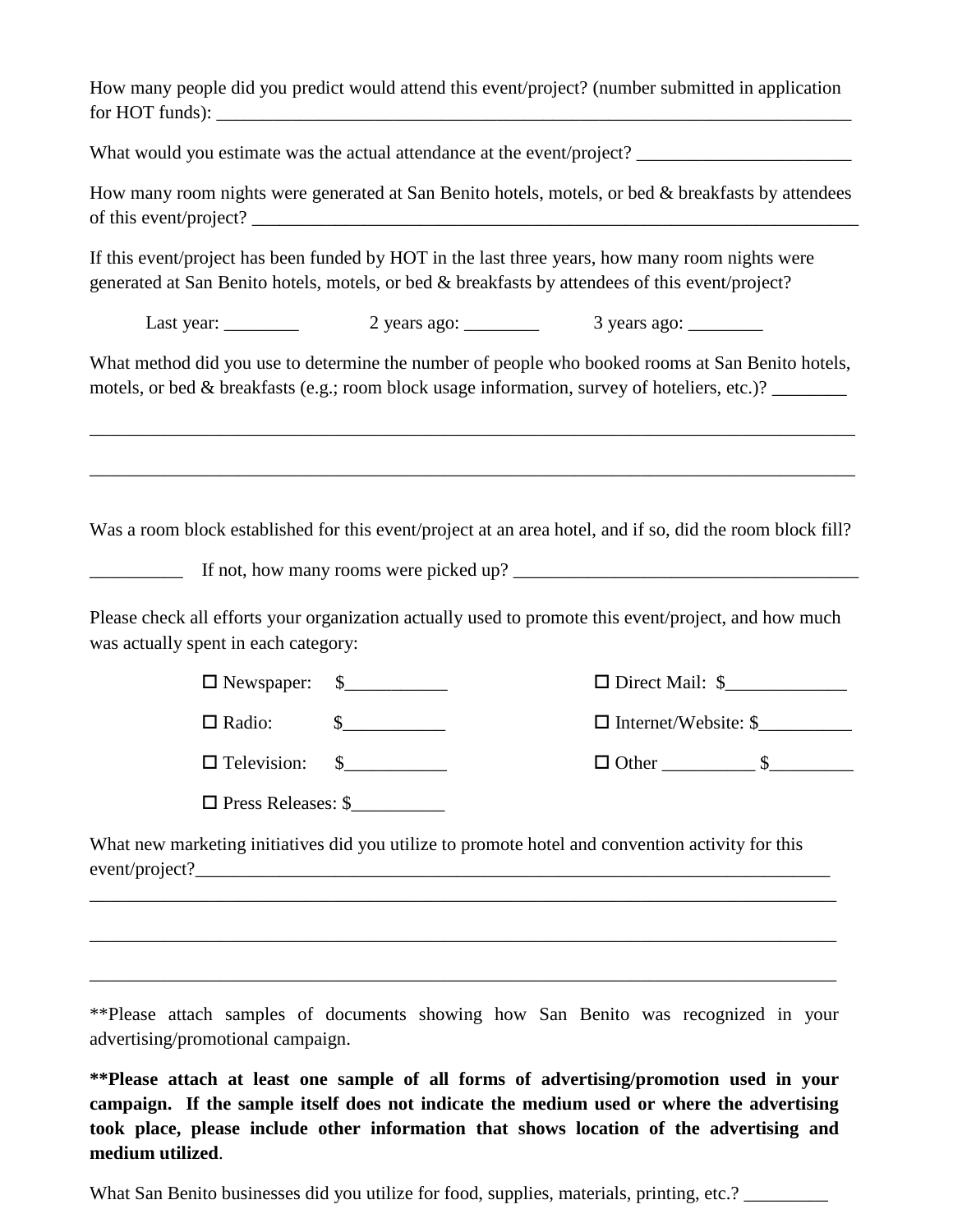How many people did you predict would attend this event/project? (number submitted in application for HOT funds):

What would you estimate was the actual attendance at the event/project? \_\_\_\_\_\_\_\_\_\_\_\_\_\_\_\_\_\_\_\_\_\_\_

How many room nights were generated at San Benito hotels, motels, or bed & breakfasts by attendees of this event/project?

If this event/project has been funded by HOT in the last three years, how many room nights were generated at San Benito hotels, motels, or bed & breakfasts by attendees of this event/project?

Last year: \_\_\_\_\_\_\_ 2 years ago: \_\_\_\_\_\_\_ 3 years ago: \_\_\_\_\_\_\_

What method did you use to determine the number of people who booked rooms at San Benito hotels, motels, or bed & breakfasts (e.g.; room block usage information, survey of hoteliers, etc.)?

\_\_\_\_\_\_\_\_\_\_\_\_\_\_\_\_\_\_\_\_\_\_\_\_\_\_\_\_\_\_\_\_\_\_\_\_\_\_\_\_\_\_\_\_\_\_\_\_\_\_\_\_\_\_\_\_\_\_\_\_\_\_\_\_\_\_\_\_\_\_\_\_\_\_\_\_\_\_\_\_\_\_

\_\_\_\_\_\_\_\_\_\_\_\_\_\_\_\_\_\_\_\_\_\_\_\_\_\_\_\_\_\_\_\_\_\_\_\_\_\_\_\_\_\_\_\_\_\_\_\_\_\_\_\_\_\_\_\_\_\_\_\_\_\_\_\_\_\_\_\_\_\_\_\_\_\_\_\_\_\_\_\_\_\_

Was a room block established for this event/project at an area hotel, and if so, did the room block fill?

 $\Box$  If not, how many rooms were picked up?  $\Box$ 

Please check all efforts your organization actually used to promote this event/project, and how much was actually spent in each category:

|                           | $\Box$ Newspaper: $\$\underline{\hspace{1cm}}$ | $\Box$ Direct Mail: $\$\$   |  |
|---------------------------|------------------------------------------------|-----------------------------|--|
| $\Box$ Radio:             |                                                | $\Box$ Internet/Website: \$ |  |
| $\Box$ Television:        |                                                | $\Box$ Other                |  |
| $\Box$ Press Releases: \$ |                                                |                             |  |

What new marketing initiatives did you utilize to promote hotel and convention activity for this  $event/project?$ 

\_\_\_\_\_\_\_\_\_\_\_\_\_\_\_\_\_\_\_\_\_\_\_\_\_\_\_\_\_\_\_\_\_\_\_\_\_\_\_\_\_\_\_\_\_\_\_\_\_\_\_\_\_\_\_\_\_\_\_\_\_\_\_\_\_\_\_\_\_\_\_\_\_\_\_\_\_\_\_\_

\_\_\_\_\_\_\_\_\_\_\_\_\_\_\_\_\_\_\_\_\_\_\_\_\_\_\_\_\_\_\_\_\_\_\_\_\_\_\_\_\_\_\_\_\_\_\_\_\_\_\_\_\_\_\_\_\_\_\_\_\_\_\_\_\_\_\_\_\_\_\_\_\_\_\_\_\_\_\_\_

\_\_\_\_\_\_\_\_\_\_\_\_\_\_\_\_\_\_\_\_\_\_\_\_\_\_\_\_\_\_\_\_\_\_\_\_\_\_\_\_\_\_\_\_\_\_\_\_\_\_\_\_\_\_\_\_\_\_\_\_\_\_\_\_\_\_\_\_\_\_\_\_\_\_\_\_\_\_\_\_

\*\*Please attach samples of documents showing how San Benito was recognized in your advertising/promotional campaign.

**\*\*Please attach at least one sample of all forms of advertising/promotion used in your campaign. If the sample itself does not indicate the medium used or where the advertising took place, please include other information that shows location of the advertising and medium utilized**.

What San Benito businesses did you utilize for food, supplies, materials, printing, etc.?